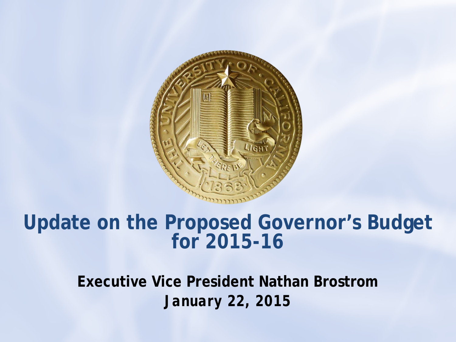

# **Update on the Proposed Governor's Budget for 2015-16**

**Executive Vice President Nathan Brostrom** *January 22, 2015*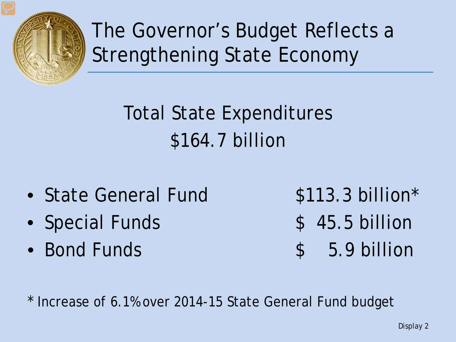

The Governor's Budget Reflects a Strengthening State Economy

> Total State Expenditures \$164.7 billion

- State General Fund \$113.3 billion\*
- Special Funds \$ 45.5 billion
- 

• Bond Funds \$ 5.9 billion

\* Increase of 6.1% over 2014-15 State General Fund budget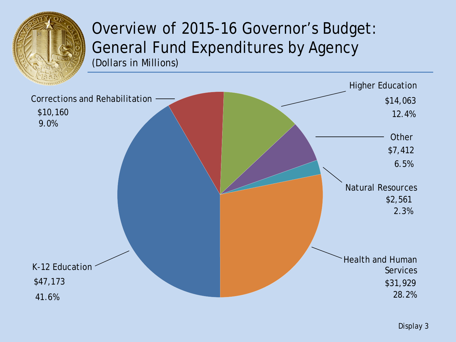

#### Overview of 2015-16 Governor's Budget: General Fund Expenditures by Agency (Dollars in Millions)

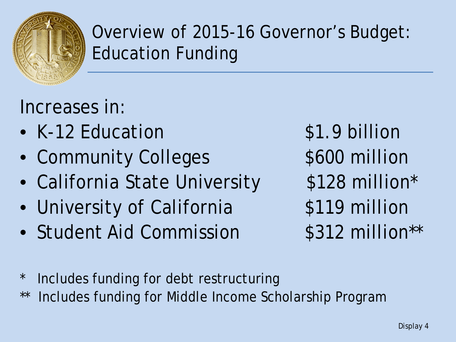

#### Overview of 2015-16 Governor's Budget: Education Funding

Increases in:

- K-12 Education 51.9 billion
- Community Colleges \$600 million
- California State University 5128 million\*
- University of California 5119 million
- Student Aid Commission 5312 million\*\*

- \* Includes funding for debt restructuring
- \*\* Includes funding for Middle Income Scholarship Program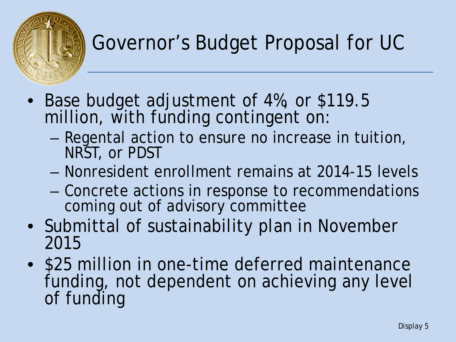

#### Governor's Budget Proposal for UC

- Base budget adjustment of 4%, or \$119.5 million, with funding contingent on:
	- Regental action to ensure no increase in tuition, NRST, or PDST
	- Nonresident enrollment remains at 2014-15 levels
	- Concrete actions in response to recommendations coming out of advisory committee
- Submittal of sustainability plan in November 2015
- \$25 million in one-time deferred maintenance funding, not dependent on achieving any level of funding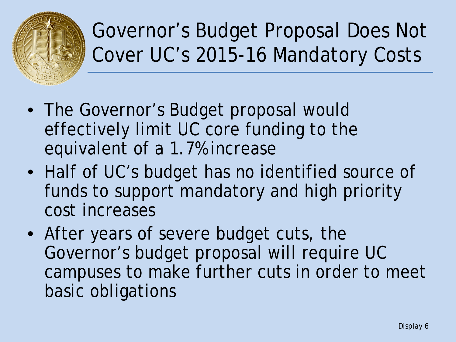

#### Governor's Budget Proposal Does Not Cover UC's 2015-16 Mandatory Costs

- The Governor's Budget proposal would effectively limit UC core funding to the equivalent of a 1.7% increase
- Half of UC's budget has no identified source of funds to support mandatory and high priority cost increases
- After years of severe budget cuts, the Governor's budget proposal will require UC campuses to make further cuts in order to meet basic obligations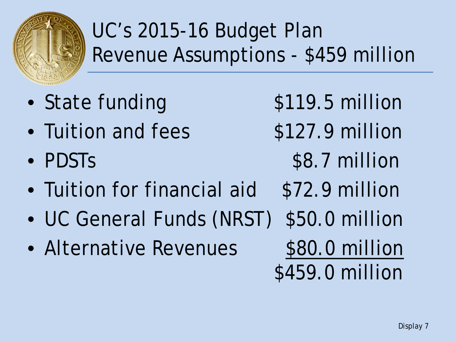

### UC's 2015-16 Budget Plan Revenue Assumptions - \$459 million

- State funding \$119.5 million
- Tuition and fees \$127.9 million
- 
- Tuition for financial aid \$72.9 million
- UC General Funds (NRST) \$50.0 million
- Alternative Revenues \$80.0 million

- 
- PDSTs \$8.7 million
	-
	- \$459.0 million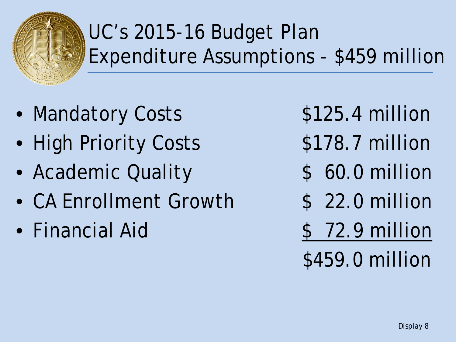

## UC's 2015-16 Budget Plan Expenditure Assumptions - \$459 million

- Mandatory Costs \$125.4 million
- High Priority Costs \$178.7 million
- Academic Quality 5 60.0 million
- CA Enrollment Growth \$ 22.0 million
- Financial Aid  $$ 72.9$  million

- 
- 
- 
- 

\$459.0 million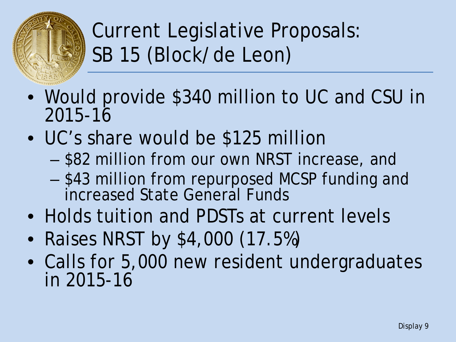

#### Current Legislative Proposals: SB 15 (Block/de Leon)

- Would provide \$340 million to UC and CSU in 2015-16
- UC's share would be \$125 million
	- \$82 million from our own NRST increase, and
	- \$43 million from repurposed MCSP funding and increased State General Funds
- Holds tuition and PDSTs at current levels
- Raises NRST by \$4,000 (17.5%)
- Calls for 5,000 new resident undergraduates in 2015-16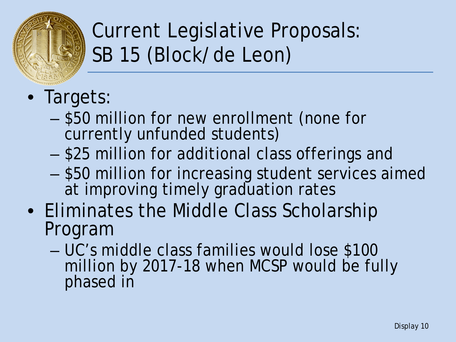

#### Current Legislative Proposals: SB 15 (Block/de Leon)

- Targets:
	- \$50 million for new enrollment (none for currently unfunded students)
	- \$25 million for additional class offerings and
	- \$50 million for increasing student services aimed at improving timely graduation rates
- Eliminates the Middle Class Scholarship Program
	- UC's middle class families would lose \$100 million by 2017-18 when MCSP would be fully phased in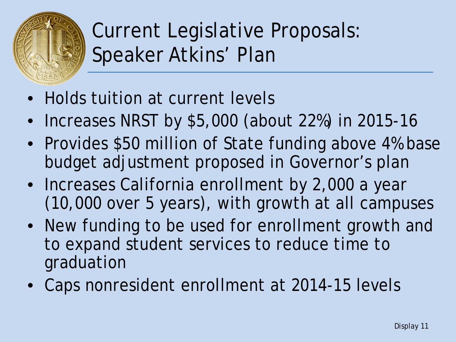

#### Current Legislative Proposals: Speaker Atkins' Plan

- Holds tuition at current levels
- Increases NRST by \$5,000 (about 22%) in 2015-16
- Provides \$50 million of State funding above 4% base budget adjustment proposed in Governor's plan
- Increases California enrollment by 2,000 a year (10,000 over 5 years), with growth at all campuses
- New funding to be used for enrollment growth and to expand student services to reduce time to graduation
- Caps nonresident enrollment at 2014-15 levels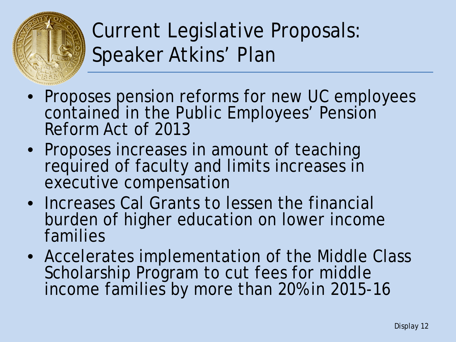

#### Current Legislative Proposals: Speaker Atkins' Plan

- Proposes pension reforms for new UC employees contained in the Public Employees' Pension Reform Act of 2013
- Proposes increases in amount of teaching required of faculty and limits increases in executive compensation
- Increases Cal Grants to lessen the financial burden of higher education on lower income families
- Accelerates implementation of the Middle Class Scholarship Program to cut fees for middle income families by more than 20% in 2015-16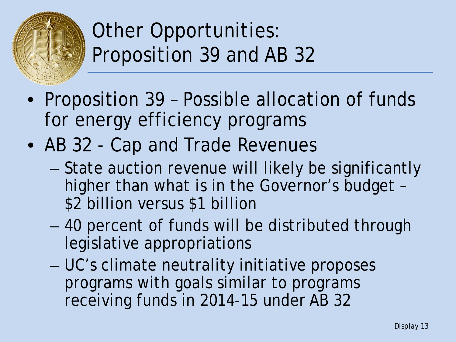

#### Other Opportunities: Proposition 39 and AB 32

- Proposition 39 Possible allocation of funds for energy efficiency programs
- AB 32 Cap and Trade Revenues
	- State auction revenue will likely be significantly higher than what is in the Governor's budget – \$2 billion versus \$1 billion
	- 40 percent of funds will be distributed through legislative appropriations
	- UC's climate neutrality initiative proposes programs with goals similar to programs receiving funds in 2014-15 under AB 32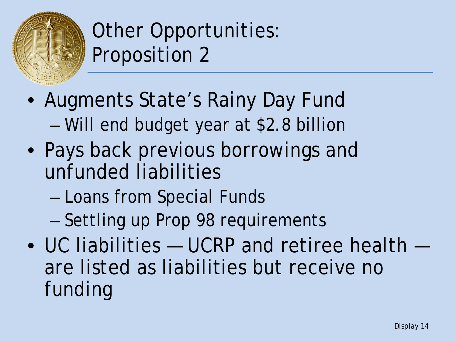

#### Other Opportunities: Proposition 2

- Augments State's Rainy Day Fund – Will end budget year at \$2.8 billion
- Pays back previous borrowings and unfunded liabilities
	- Loans from Special Funds
	- Settling up Prop 98 requirements
- UC liabilities UCRP and retiree health are listed as liabilities but receive no funding